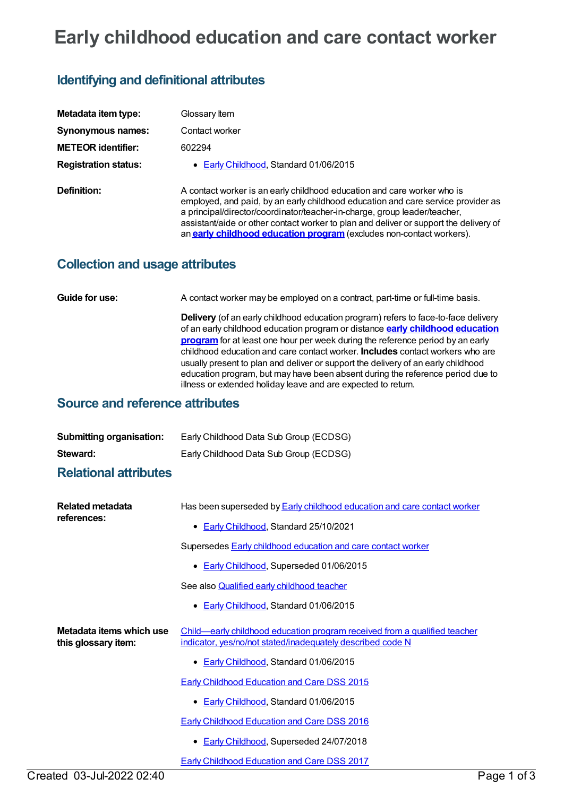# **Early childhood education and care contact worker**

## **Identifying and definitional attributes**

| Metadata item type:         | Glossary Item                                                                                                                                                                                                                                                                                                                                                                                                    |
|-----------------------------|------------------------------------------------------------------------------------------------------------------------------------------------------------------------------------------------------------------------------------------------------------------------------------------------------------------------------------------------------------------------------------------------------------------|
| Synonymous names:           | Contact worker                                                                                                                                                                                                                                                                                                                                                                                                   |
| <b>METEOR</b> identifier:   | 602294                                                                                                                                                                                                                                                                                                                                                                                                           |
| <b>Registration status:</b> | • Early Childhood, Standard 01/06/2015                                                                                                                                                                                                                                                                                                                                                                           |
| Definition:                 | A contact worker is an early childhood education and care worker who is<br>employed, and paid, by an early childhood education and care service provider as<br>a principal/director/coordinator/teacher-in-charge, group leader/teacher,<br>assistant/aide or other contact worker to plan and deliver or support the delivery of<br>an <b>early childhood education program</b> (excludes non-contact workers). |

#### **Collection and usage attributes**

**Guide for use:** A contact worker may be employed on a contract, part-time or full-time basis.

**Delivery** (of an early childhood education program) refers to face-to-face delivery of an early childhood education program or distance **early [childhood](https://meteor.aihw.gov.au/content/602292) education program** for at least one hour per week during the reference period by an early childhood education and care contact worker. **Includes** contact workers who are usually present to plan and deliver or support the delivery of an early childhood education program, but may have been absent during the reference period due to illness or extended holiday leave and are expected to return.

#### **Source and reference attributes**

| <b>Submitting organisation:</b> | Early Childhood Data Sub Group (ECDSG) |
|---------------------------------|----------------------------------------|
| Steward:                        | Early Childhood Data Sub Group (ECDSG) |

### **Relational attributes**

| Related metadata<br>references:                 | Has been superseded by <b>Early childhood education and care contact worker</b><br>• Early Childhood, Standard 25/10/2021               |
|-------------------------------------------------|-----------------------------------------------------------------------------------------------------------------------------------------|
|                                                 | Supersedes <b>Early childhood education and care contact worker</b>                                                                     |
|                                                 | • Early Childhood, Superseded 01/06/2015                                                                                                |
|                                                 | See also <b>Qualified early childhood teacher</b>                                                                                       |
|                                                 | • Early Childhood, Standard 01/06/2015                                                                                                  |
| Metadata items which use<br>this glossary item: | Child—early childhood education program received from a qualified teacher<br>indicator, yes/no/not stated/inadequately described code N |
|                                                 | • Early Childhood, Standard 01/06/2015                                                                                                  |
|                                                 | <b>Early Childhood Education and Care DSS 2015</b>                                                                                      |
|                                                 | • Early Childhood, Standard 01/06/2015                                                                                                  |
|                                                 | <b>Early Childhood Education and Care DSS 2016</b>                                                                                      |
|                                                 | <b>Early Childhood, Superseded 24/07/2018</b><br>$\bullet$                                                                              |
|                                                 | <b>Early Childhood Education and Care DSS 2017</b>                                                                                      |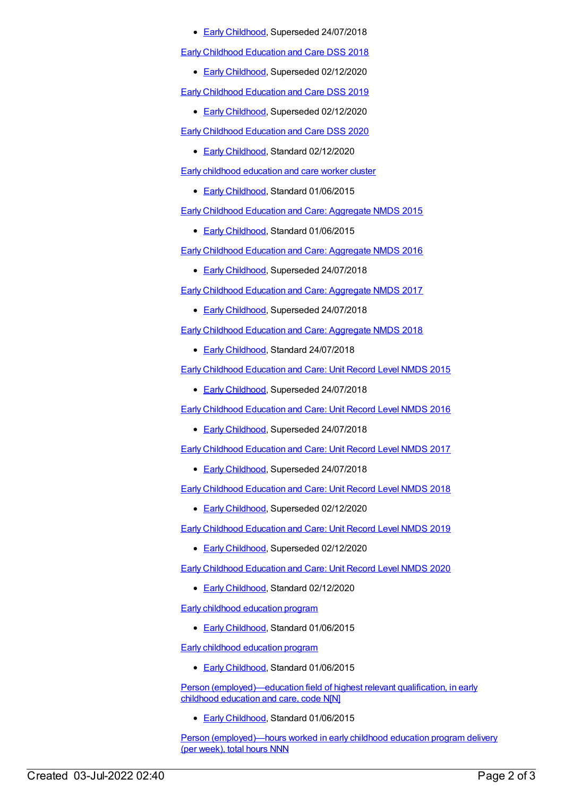● Early [Childhood](https://meteor.aihw.gov.au/RegistrationAuthority/13), Superseded 24/07/2018

Early [Childhood](https://meteor.aihw.gov.au/content/686186) Education and Care DSS 2018

**Early [Childhood](https://meteor.aihw.gov.au/RegistrationAuthority/13), Superseded 02/12/2020** 

Early [Childhood](https://meteor.aihw.gov.au/content/731151) Education and Care DSS 2019

**Early [Childhood](https://meteor.aihw.gov.au/RegistrationAuthority/13), Superseded 02/12/2020** 

Early [Childhood](https://meteor.aihw.gov.au/content/731165) Education and Care DSS 2020

● Early [Childhood](https://meteor.aihw.gov.au/RegistrationAuthority/13), Standard 02/12/2020

Early childhood [education](https://meteor.aihw.gov.au/content/602275) and care worker cluster

**Early [Childhood](https://meteor.aihw.gov.au/RegistrationAuthority/13), Standard 01/06/2015** 

Early Childhood Education and Care: [Aggregate](https://meteor.aihw.gov.au/content/602245) NMDS 2015

**Early [Childhood](https://meteor.aihw.gov.au/RegistrationAuthority/13), Standard 01/06/2015** 

Early Childhood Education and Care: [Aggregate](https://meteor.aihw.gov.au/content/686012) NMDS 2016

**Early [Childhood](https://meteor.aihw.gov.au/RegistrationAuthority/13), Superseded 24/07/2018** 

Early Childhood Education and Care: [Aggregate](https://meteor.aihw.gov.au/content/686049) NMDS 2017

**Early [Childhood](https://meteor.aihw.gov.au/RegistrationAuthority/13), Superseded 24/07/2018** 

Early Childhood Education and Care: [Aggregate](https://meteor.aihw.gov.au/content/686212) NMDS 2018

**Early [Childhood](https://meteor.aihw.gov.au/RegistrationAuthority/13), Standard 24/07/2018** 

Early [Childhood](https://meteor.aihw.gov.au/content/602247) Education and Care: Unit Record Level NMDS 2015

**Early [Childhood](https://meteor.aihw.gov.au/RegistrationAuthority/13), Superseded 24/07/2018** 

Early [Childhood](https://meteor.aihw.gov.au/content/686022) Education and Care: Unit Record Level NMDS 2016

**Early [Childhood](https://meteor.aihw.gov.au/RegistrationAuthority/13), Superseded 24/07/2018** 

Early [Childhood](https://meteor.aihw.gov.au/content/686135) Education and Care: Unit Record Level NMDS 2017

**Early [Childhood](https://meteor.aihw.gov.au/RegistrationAuthority/13), Superseded 24/07/2018** 

Early [Childhood](https://meteor.aihw.gov.au/content/686221) Education and Care: Unit Record Level NMDS 2018

**Early [Childhood](https://meteor.aihw.gov.au/RegistrationAuthority/13), Superseded 02/12/2020** 

Early [Childhood](https://meteor.aihw.gov.au/content/731157) Education and Care: Unit Record Level NMDS 2019

Early [Childhood](https://meteor.aihw.gov.au/RegistrationAuthority/13), Superseded 02/12/2020

Early [Childhood](https://meteor.aihw.gov.au/content/731168) Education and Care: Unit Record Level NMDS 2020

• Early [Childhood](https://meteor.aihw.gov.au/RegistrationAuthority/13), Standard 02/12/2020

Early childhood [education](https://meteor.aihw.gov.au/content/602292) program

Early [Childhood](https://meteor.aihw.gov.au/RegistrationAuthority/13), Standard 01/06/2015

Early childhood [education](https://meteor.aihw.gov.au/content/602292) program

Early [Childhood](https://meteor.aihw.gov.au/RegistrationAuthority/13), Standard 01/06/2015

Person [\(employed\)—education](https://meteor.aihw.gov.au/content/602566) field of highest relevant qualification, in early childhood education and care, code N[N]

Early [Childhood](https://meteor.aihw.gov.au/RegistrationAuthority/13), Standard 01/06/2015

Person [\(employed\)—hours](https://meteor.aihw.gov.au/content/602277) worked in early childhood education program delivery (per week), total hours NNN